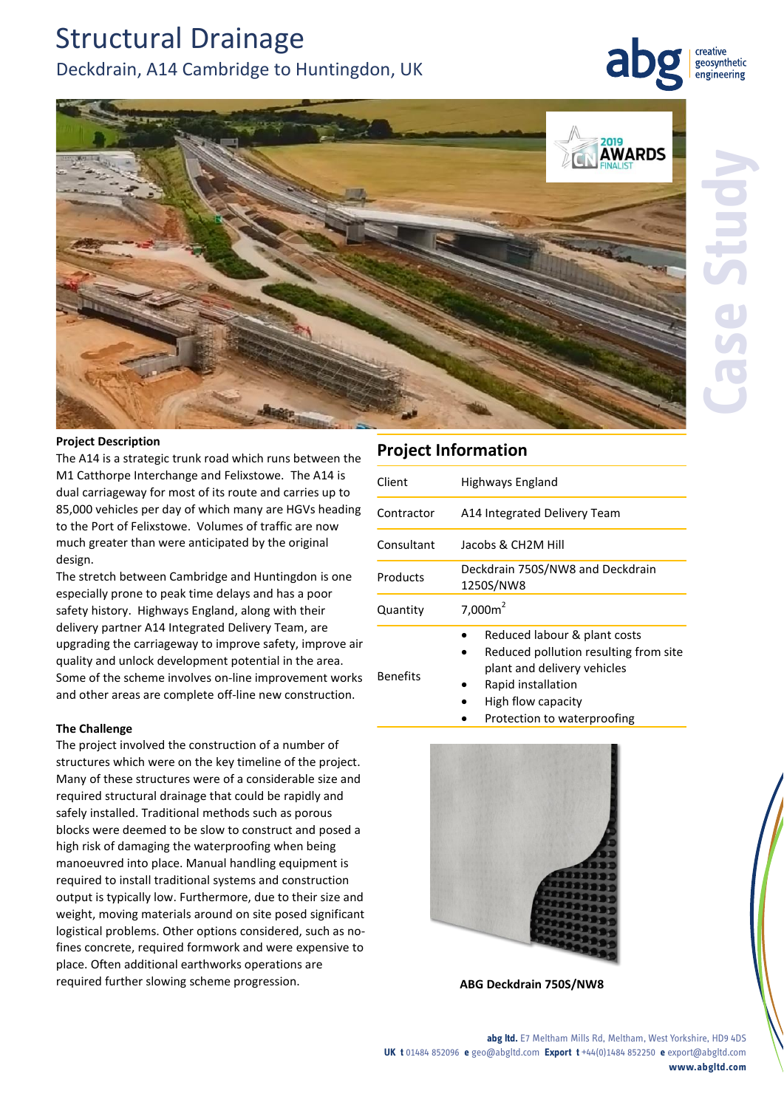# Structural Drainage Deckdrain, A14 Cambridge to Huntingdon, UK

creative geosynthetic engineering



## **Project Description**

The A14 is a strategic trunk road which runs between the M1 Catthorpe Interchange and Felixstowe. The A14 is dual carriageway for most of its route and carries up to 85,000 vehicles per day of which many are HGVs heading to the Port of Felixstowe. Volumes of traffic are now much greater than were anticipated by the original design.

The stretch between Cambridge and Huntingdon is one especially prone to peak time delays and has a poor safety history. Highways England, along with their delivery partner A14 Integrated Delivery Team, are upgrading the carriageway to improve safety, improve air quality and unlock development potential in the area. Some of the scheme involves on-line improvement works and other areas are complete off-line new construction.

### **The Challenge**

The project involved the construction of a number of structures which were on the key timeline of the project. Many of these structures were of a considerable size and required structural drainage that could be rapidly and safely installed. Traditional methods such as porous blocks were deemed to be slow to construct and posed a high risk of damaging the waterproofing when being manoeuvred into place. Manual handling equipment is required to install traditional systems and construction output is typically low. Furthermore, due to their size and weight, moving materials around on site posed significant logistical problems. Other options considered, such as nofines concrete, required formwork and were expensive to place. Often additional earthworks operations are required further slowing scheme progression. **ABG Deckdrain 750S/NW8**

# **Project Information**

| Client          | Highways England                                                                                                                                                                |
|-----------------|---------------------------------------------------------------------------------------------------------------------------------------------------------------------------------|
| Contractor      | A14 Integrated Delivery Team                                                                                                                                                    |
| Consultant      | Jacobs & CH2M Hill                                                                                                                                                              |
| Products        | Deckdrain 750S/NW8 and Deckdrain<br>1250S/NW8                                                                                                                                   |
| Quantity        | $7,000m^2$                                                                                                                                                                      |
| <b>Benefits</b> | Reduced labour & plant costs<br>Reduced pollution resulting from site<br>plant and delivery vehicles<br>Rapid installation<br>High flow capacity<br>Protection to waterproofing |